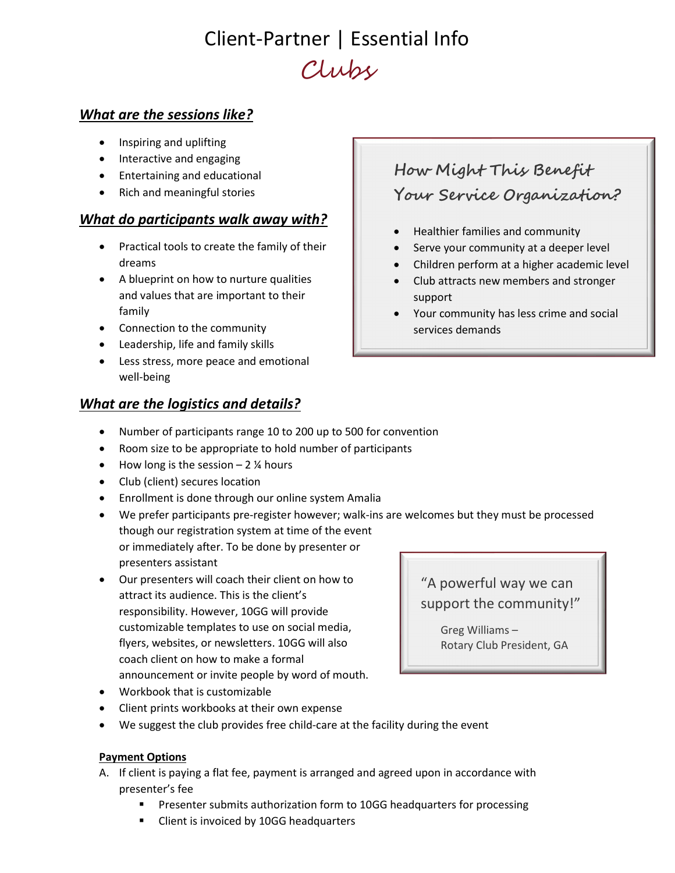# Client-Partner | Essential Info Clubs

### What are the sessions like?

- Inspiring and uplifting
- Interactive and engaging
- Entertaining and educational
- Rich and meaningful stories

#### What do participants walk away with?

- Practical tools to create the family of their dreams
- A blueprint on how to nurture qualities and values that are important to their family
- Connection to the community
- Leadership, life and family skills
- Less stress, more peace and emotional well-being

### What are the logistics and details?

## Healthier families and community Serve your community at a deeper level

How Might This Benefit

Your Service Organization?

- Children perform at a higher academic level
- Club attracts new members and stronger support
- Your community has less crime and social services demands
- Number of participants range 10 to 200 up to 500 for convention
- Room size to be appropriate to hold number of participants
- $\bullet$  How long is the session 2 % hours
- Club (client) secures location
- Enrollment is done through our online system Amalia
- We prefer participants pre-register however; walk-ins are welcomes but they must be processed though our registration system at time of the event or immediately after. To be done by presenter or presenters assistant
- Our presenters will coach their client on how to attract its audience. This is the client's responsibility. However, 10GG will provide customizable templates to use on social media, flyers, websites, or newsletters. 10GG will also coach client on how to make a formal announcement or invite people by word of mouth.
- Workbook that is customizable
- Client prints workbooks at their own expense
- We suggest the club provides free child-care at the facility during the event

#### Payment Options

- A. If client is paying a flat fee, payment is arranged and agreed upon in accordance with presenter's fee
	- **Presenter submits authorization form to 10GG headquarters for processing**
	- Client is invoiced by 10GG headquarters

## "A powerful way we can support the community!"

Greg Williams – Rotary Club President, GA